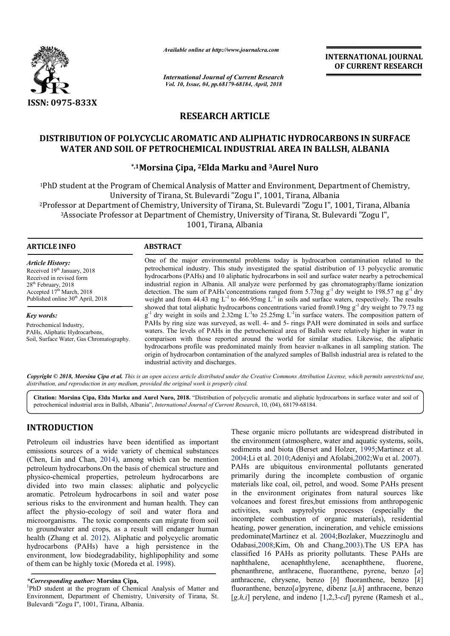

*Available online at http://www.journalcra.com*

*International Journal of Current Research Vol. 10, Issue, 04, pp.68179-68184, April, 2018*

**INTERNATIONAL JOURNAL OF CURRENT RESEARCH**

# **RESEARCH ARTICLE**

## **DISTRIBUTION OF POLYCYCLIC AROMATIC AND ALIPHATIC HYDROCARBONS IN SURFACE SURFACE WATER AND SOIL OF PETROCHEMICAL INDUSTRIAL AREA IN BALLSH, ALBANIA**

## **\*,1Morsina Çipa, Morsina 2Elda Marku and 3Aurel Nuro**

1PhD student at the Program of Chemical Analysis of Matter and Environment, Department of Chemistry, University of Tirana, St. Bulevardi "Zogu I", 1001, Tirana, Albania 2Professor at Department of Chemistry, University of Tirana, St. Bulevardi "Zogu I", 1001, Tirana, Albania 3Associate Professor at Department of Chemistry, University of Tirana, St. Bulevardi "Zogu I", 1001, Tirana, Albania Tirana, St. Bulevardi "Zogu I", 1001, Tirana, Albania<br>nistry, University of Tirana, St. Bulevardi "Zogu I", 1001, 1<br>artment of Chemistry, University of Tirana, St. Bulevardi

### **ARTICLE INFO ABSTRACT**

*Article History:* Received 19<sup>th</sup> January, 2018 Received in revised form 28<sup>th</sup> February, 2018 Accepted 17<sup>th</sup> March, 2018 Published online 30<sup>th</sup> April, 2018

*Key words:* Petrochemical Industry, PAHs, Aliphatic Hydrocarbons, Soil, Surface Water, Gas Chromatography. One of the major environmental problems today is hydrocarbon contamination related to the petrochemical industry. This study investigated the spatial distribution of 13 polycyclic aromatic hydrocarbons (PAHs) and 10 aliphatic hydrocarbons in soil and surface water nearby a petrochemical industrial region in Albania. All analyze were performed by gas chromatography/flame ionization industrial region in Albania. All analyze were performed by gas chromatography/flame ionization detection. The sum of PAHs'concentrations ranged from 5.73ng  $g^{-1}$  dry weight to 198.57 ng  $g^{-1}$  dry weight and from 44.43 mg  $L^{-1}$  to 466.95mg  $L^{-1}$  in soils and surface waters, respectively. The results showed that total aliphatic hydrocarbons concentrations varied from 0.19ng  $g^{-1}$  dry weight to 79.73 ng showed that total aliphatic hydrocarbons concentrations varied from 0.19ng  $g^{-1}$  dry weight to 79.73 ng g<sup>-1</sup> dry weight in soils and 2.32mg L<sup>-1</sup>to 25.25mg L<sup>-1</sup>in surface waters. The composition pattern of PAHs by ring size was surveyed, as well. 4- and 5- rings PAH were dominated in soils and surface waters. The levels of PAHs in the petrochemical area of Ballsh were relatively higher in water in comparison with those reported around the world f for similar studies. Likewise, the aliphatic hydrocarbons profile was predominated mainly from heavier n-alkanes in all sampling station. The origin of hydrocarbon contamination of the analyzed samples of Ballsh industrial area is related to the industrial activity and discharges. One of the major environmental problems today is hydrocarbon contamination related to the petrochemical industry. This study investigated the spatial distribution of 13 polycyclic aromatic hydrocarbons (PAHs) and 10 alipha PAHs by ring size was surveyed, as well. 4- and 5- rings PAH were dominated in soils and surfa<br>waters. The levels of PAHs in the petrochemical area of Ballsh were relatively higher in water<br>comparison with those reported a

Copyright © 2018, Morsina Çipa et al. This is an open access article distributed under the Creative Commons Attribution License, which permits unrestricted use, *distribution, and reproduction in any medium, provided the original work is properly cited.*

Citation: Morsina Çipa, Elda Marku and Aurel Nuro, 2018. "Distribution of polycyclic aromatic and aliphatic hydrocarbons in surface water and soil of petrochemical industrial area in Ballsh, Albania", *International Journal of Current Research*, 10, (04), 68179-68184.

# **INTRODUCTION**

Petroleum oil industries have been identified as important emissions sources of a wide variety of chemical substances (Chen, Lin and Chan, 2014), among which can be mention petroleum hydrocarbons.On the basis of chemical structure and physico-chemical properties, petroleum hydrocarbons are divided into two main classes: aliphatic and polycyclic aromatic. Petroleum hydrocarbons in soil and water pos serious risks to the environment and human health. They can affect the physio-ecology of soil and water flora and microorganisms. The toxic components can migrate from soil to groundwater and crops, as a result will endanger human health (Zhang et al. 2012). Aliphatic and polycyclic aromatic hydrocarbons (PAHs) have a high persistence in the environment, low biodegradability, highlipophility and some environment, low biodegradability, highlipophil<br>of them can be highly toxic (Moreda et al. 1998). m hydrocarbons. On the basis of chemical structure and<br>chemical properties, petroleum hydrocarbons are<br>into two main classes: aliphatic and polycyclic<br>. Petroleum hydrocarbons in soil and water pose ecology of soil and water flora and<br>he toxic components can migrate from soil<br>l crops, as a result will endanger human<br>2012). Aliphatic and polycyclic aromatic<br>Hs) have a high persistence in the

These organic micro pollutants are widespread distributed in the environment (atmosphere, water and aquatic systems, soils, the environment (atmosphere, water and aquatic systems, soils, sediments and biota (Berset and Holzer, 1995;Martinez et al. 2004;Li et al. 2010;Adeniyi and Afolabi,2002;Wu et al. 2007). PAHs are ubiquitous environmental pollutants generated primarily during the incomplete combustion of organic materials like coal, oil, petrol, and wood. Some PAHs present in the environment originates from natural sources like volcanoes and forest fires,but emissions from anthropogenic activities, such aspyrolytic processes (especially the incomplete combustion of organic materials), residential heating, power generation, incineration, and vehicle emissions predominate(Martinez et al. 2004 Odabasi, 2008; Kim, Oh and Chang, 2003). The US EPA has classified 16 PAHs as priority pollutants. These PAHs are naphthalene, acenaphthylene, acenaphthene, fluorene, classified 16 PAHs as priority pollutants. These PAHs are naphthalene, acenaphthylene, acenaphthene, fluorene, phenanthrene, anthracene, fluoranthene, pyrene, benzo [*a*] anthracene, chrysene, benzo [*b*] fluoranthene, benzo [*k*] fluoranthene, benzo[*a*]pyrene, dibenz [*a,h*] anthracene, benzo [*g,h,i*] perylene, and indeno [1,2,3-*cd*] pyrene (Ramesh et al., als like coal, oil, petrol, and wood. Some PAHs present<br>environment originates from natural sources like<br>oes and forest fires,but emissions from anthropogenic<br>es, such aspyrolytic processes (especially the<br>olete combustion

*<sup>\*</sup>Corresponding author:* **Morsina Çipa,** <sup>1</sup>

PhD student at the program of Chemical Analysis of Matter and Environment, Department of Chemistry, University of Tirana, St. Bulevardi "Zogu I", 1001, Tirana, Albania.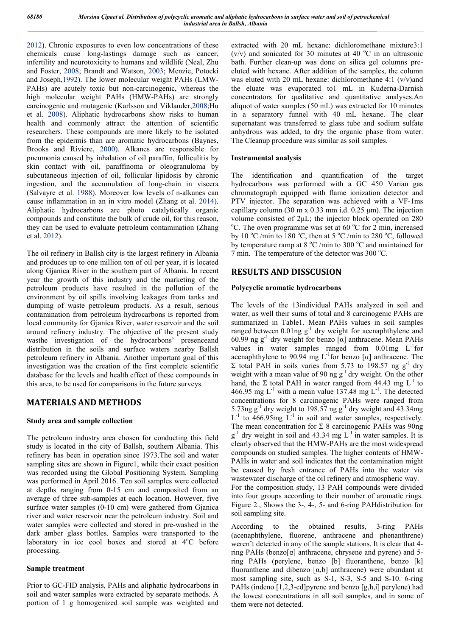2012). Chronic exposures to even low concentrations of these chemicals cause long-lastings damage such as cancer, infertility and neurotoxicity to humans and wildlife (Neal, Zhu and Foster, 2008; Brandt and Watson, 2003; Menzie, Potocki and Joseph,1992). The lower molecular weight PAHs (LMW-PAHs) are acutely toxic but non-carcinogenic, whereas the high molecular weight PAHs (HMW-PAHs) are strongly carcinogenic and mutagenic (Karlsson and Viklander,2008;Hu et al. 2008). Aliphatic hydrocarbons show risks to human health and commonly attract the attention of scientific researchers. These compounds are more likely to be isolated from the epidermis than are aromatic hydrocarbons (Baynes, Brooks and Riviere, 2000). Alkanes are responsible for pneumonia caused by inhalation of oil paraffin, folliculitis by skin contact with oil, paraffinoma or oleogranuloma by subcutaneous injection of oil, follicular lipidosis by chronic ingestion, and the accumulation of long-chain in viscera (Salvayre et al. 1988). Moreover low levels of n-alkanes can cause inflammation in an in vitro model (Zhang et al. 2014). Aliphatic hydrocarbons are photo catalytically organic compounds and constitute the bulk of crude oil, for this reason, they can be used to evaluate petroleum contamination (Zhang et al. 2012).

The oil refinery in Ballsh city is the largest refinery in Albania and produces up to one million ton of oil per year, it is located along Gjanica River in the southern part of Albania. In recent year the growth of this industry and the marketing of the petroleum products have resulted in the pollution of the environment by oil spills involving leakages from tanks and dumping of waste petroleum products. As a result, serious contamination from petroleum hydrocarbons is reported from local community for Gjanica River, water reservoir and the soil around refinery industry. The objective of the present study wasthe investigation of the hydrocarbons' presenceand distribution in the soils and surface waters nearby Ballsh petroleum refinery in Albania. Another important goal of this investigation was the creation of the first complete scientific database for the levels and health effect of these compounds in this area, to be used for comparisons in the future surveys.

## **MATERIALS AND METHODS**

#### **Study area and sample collection**

The petroleum industry area chosen for conducting this field study is located in the city of Ballsh, southern Albania. This refinery has been in operation since 1973.The soil and water sampling sites are shown in Figure1, while their exact position was recorded using the Global Positioning System. Sampling was performed in April 2016. Ten soil samples were collected at depths ranging from 0-15 cm and composited from an average of three sub-samples at each location. However, five surface water samples (0-10 cm) were gathered from Gjanica river and water reservoir near the petroleum industry. Soil and water samples were collected and stored in pre-washed in the dark amber glass bottles. Samples were transported to the laboratory in ice cool boxes and stored at 4°C before processing.

#### **Sample treatment**

Prior to GC-FID analysis, PAHs and aliphatic hydrocarbons in soil and water samples were extracted by separate methods. A portion of 1 g homogenized soil sample was weighted and extracted with 20 mL hexane: dichloromethane mixture3:1 (v/v) and sonicated for 30 minutes at 40  $^{\circ}$ C in an ultrasonic bath. Further clean-up was done on silica gel columns preeluted with hexane. After addition of the samples, the column was eluted with 20 mL hexane: dichloromethane 4:1 (v/v)and the eluate was evaporated to1 mL in Kuderna-Darnish concentrators for qualitative and quantitative analyses.An aliquot of water samples (50 mL) was extracted for 10 minutes in a separatory funnel with 40 mL hexane. The clear supernatant was transferred to glass tube and sodium sulfate anhydrous was added, to dry the organic phase from water. The Cleanup procedure was similar as soil samples.

## **Instrumental analysis**

The identification and quantification of the target hydrocarbons was performed with a GC 450 Varian gas chromatograph equipped with flame ionization detector and PTV injector. The separation was achieved with a VF-1ms capillary column (30 m x 0.33 mm i.d. 0.25  $\mu$ m). The injection volume consisted of 2μL; the injector block operated on 280 <sup>o</sup>C. The oven programme was set at 60 <sup>o</sup>C for 2 min, increased by 10 °C /min to 180 °C, then at 5 °C /min to 280 °C, followed by temperature ramp at 8  $^{\circ}$ C /min to 300  $^{\circ}$ C and maintained for 7 min. The temperature of the detector was 300 °C.

## **RESULTS AND DISSCUSION**

## **Polycyclic aromatic hydrocarbons**

The levels of the 13individual PAHs analyzed in soil and water, as well their sums of total and 8 carcinogenic PAHs are summarized in Table1. Mean PAHs values in soil samples ranged between  $0.01$ ng g<sup>-1</sup> dry weight for acenaphthylene and 60.99 ng  $g^{-1}$  dry weight for benzo [ $\alpha$ ] anthracene. Mean PAHs values in water samples ranged from  $0.01$  mg  $L^{-1}$  for acenaphthylene to 90.94 mg  $L^{-1}$  for benzo [a] anthracene. The  $\Sigma$  total PAH in soils varies from 5.73 to 198.57 ng g<sup>-1</sup> dry weight with a mean value of 90 ng g<sup>-1</sup> dry weight. On the other hand, the  $\Sigma$  total PAH in water ranged from 44.43 mg  $L^{-1}$  to 466.95 mg  $L^{-1}$  with a mean value 137.48 mg  $L^{-1}$ . The detected concentrations for 8 carcinogenic PAHs were ranged from 5.73ng  $g^{-1}$  dry weight to 198.57 ng  $g^{-1}$  dry weight and 43.34mg  $L^{-1}$  to 466.95mg  $L^{-1}$  in soil and water samples, respectively. The mean concentration for  $\Sigma$  8 carcinogenic PAHs was 90ng  $g^{-1}$  dry weight in soil and 43.34 mg  $L^{-1}$  in water samples. It is clearly observed that the HMW-PAHs are the most widespread compounds on studied samples. The higher contents of HMW-PAHs in water and soil indicates that the contamination might be caused by fresh entrance of PAHs into the water via wastewater discharge of the oil refinery and atmospheric way. For the composition study, 13 PAH compounds were divided into four groups according to their number of aromatic rings. Figure 2., Shows the 3-, 4-, 5- and 6-ring PAHdistribution for soil sampling site.

According to the obtained results, 3-ring PAHs (acenaphthylene, fluorene, anthracene and phenanthrene) weren't detected in any of the sample stations. It is clear that 4 ring PAHs (benzo[ $\alpha$ ] anthracene, chrysene and pyrene) and 5ring PAHs (perylene, benzo [b] fluoranthene, benzo [k] fluoranthene and dibenzo  $[\alpha, b]$  anthracene) were abundant at most sampling site, such as S-1, S-3, S-5 and S-10. 6-ring PAHs (indeno [1,2,3-cd]pyrene and benzo [g,h,i] perylene) had the lowest concentrations in all soil samples, and in some of them were not detected.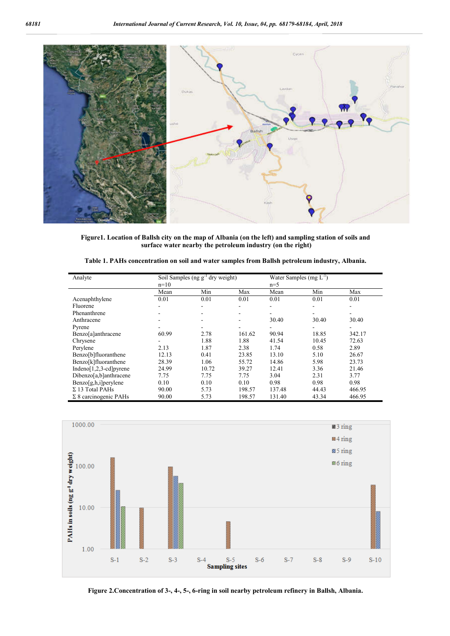

**Figure1. Location of Ballsh city on the map of Albania (on the left) and sampling station of soils and surface water nearby the petroleum industry (on the right)**

| Analyte                      | Soil Samples (ng $g^{-1}$ dry weight)<br>$n=10$ |       |                | Water Samples (mg $L^{-1}$ )<br>$n=5$ |       |        |  |
|------------------------------|-------------------------------------------------|-------|----------------|---------------------------------------|-------|--------|--|
|                              | Mean                                            | Min   | Max            | Mean                                  | Min   | Max    |  |
| Acenaphthylene               | 0.01                                            | 0.01  | 0.01           | 0.01                                  | 0.01  | 0.01   |  |
| Fluorene                     |                                                 |       |                |                                       |       |        |  |
| Phenanthrene                 |                                                 |       | $\blacksquare$ | -                                     | ۰     | ۰      |  |
| Anthracene                   |                                                 |       |                | 30.40                                 | 30.40 | 30.40  |  |
| Pyrene                       |                                                 |       |                |                                       |       |        |  |
| Benzo[a]anthracene           | 60.99                                           | 2.78  | 161.62         | 90.94                                 | 18.85 | 342.17 |  |
| Chrysene                     |                                                 | 1.88  | 1.88           | 41.54                                 | 10.45 | 72.63  |  |
| Perylene                     | 2.13                                            | 1.87  | 2.38           | 1.74                                  | 0.58  | 2.89   |  |
| Benzo[b]fluoranthene         | 12.13                                           | 0.41  | 23.85          | 13.10                                 | 5.10  | 26.67  |  |
| Benzo[k]fluoranthene         | 28.39                                           | 1.06  | 55.72          | 14.86                                 | 5.98  | 23.73  |  |
| Indeno $[1,2,3$ -cd] pyrene  | 24.99                                           | 10.72 | 39.27          | 12.41                                 | 3.36  | 21.46  |  |
| Dibenzo[a,b]anthracene       | 7.75                                            | 7.75  | 7.75           | 3.04                                  | 2.31  | 3.77   |  |
| Benzo[g,h,i]perylene         | 0.10                                            | 0.10  | 0.10           | 0.98                                  | 0.98  | 0.98   |  |
| $\Sigma$ 13 Total PAHs       | 90.00                                           | 5.73  | 198.57         | 137.48                                | 44.43 | 466.95 |  |
| $\Sigma$ 8 carcinogenic PAHs | 90.00                                           | 5.73  | 198.57         | 131.40                                | 43.34 | 466.95 |  |

**Table 1. PAHs concentration on soil and water samples from Ballsh petroleum industry, Albania.**



**Figure 2.Concentration of 3-, 4-, 5-, 6-ring in soil nearby petroleum refinery in Ballsh, Albania.**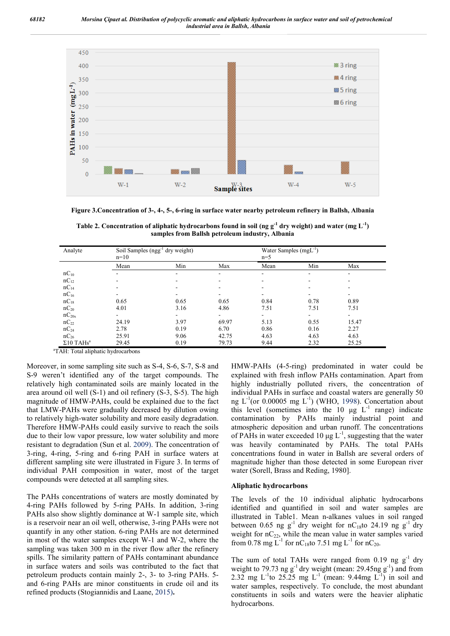

**Figure 3.Concentration of 3-, 4-, 5-, 6-ring in surface water nearby petroleum refinery in Ballsh, Albania**

Table 2. Concentration of aliphatic hydrocarbons found in soil (ng  $g^{-1}$  dry weight) and water (mg  $L^{-1}$ ) **samples from Ballsh petroleum industry, Albania**

| Analyte                      | Soil Samples (ngg <sup>-1</sup> dry weight)<br>$n=10$ |      |       | Water Samples $(mgL^{-1})$<br>$n=5$ |      |       |
|------------------------------|-------------------------------------------------------|------|-------|-------------------------------------|------|-------|
|                              | Mean                                                  | Min  | Max   | Mean                                | Min  | Max   |
| $nC_{10}$                    |                                                       |      |       | -                                   | ۰    | ۰     |
| $nC_{12}$                    |                                                       |      |       |                                     |      |       |
| $nC_{14}$                    |                                                       |      |       |                                     | ۰    |       |
| $nC_{16}$                    |                                                       |      |       |                                     |      |       |
| $nC_{18}$                    | 0.65                                                  | 0.65 | 0.65  | 0.84                                | 0.78 | 0.89  |
| $nC_{20}$                    | 4.01                                                  | 3.16 | 4.86  | 7.51                                | 7.51 | 7.51  |
| $nC_{20x}$                   |                                                       |      |       |                                     |      |       |
| $nC_{22}$                    | 24.19                                                 | 3.97 | 69.97 | 5.13                                | 0.55 | 15.47 |
| $nC_{24}$                    | 2.78                                                  | 0.19 | 6.70  | 0.86                                | 0.16 | 2.27  |
| $nC_{26}$                    | 25.91                                                 | 9.06 | 42.75 | 4.63                                | 4.63 | 4.63  |
| $\Sigma10$ TAHs <sup>a</sup> | 29.45                                                 | 0.19 | 79.73 | 9.44                                | 2.32 | 25.25 |

<sup>a</sup>TAH: Total aliphatic hydrocarbons

Moreover, in some sampling site such as S-4, S-6, S-7, S-8 and S-9 weren't identified any of the target compounds. The relatively high contaminated soils are mainly located in the area around oil well (S-1) and oil refinery (S-3, S-5). The high magnitude of HMW-PAHs, could be explained due to the fact that LMW-PAHs were gradually decreased by dilution owing to relatively high-water solubility and more easily degradation. Therefore HMW-PAHs could easily survive to reach the soils due to their low vapor pressure, low water solubility and more resistant to degradation (Sun et al. 2009). The concentration of 3-ring, 4-ring, 5-ring and 6-ring PAH in surface waters at different sampling site were illustrated in Figure 3. In terms of individual PAH composition in water, most of the target compounds were detected at all sampling sites.

The PAHs concentrations of waters are mostly dominated by 4-ring PAHs followed by 5-ring PAHs. In addition, 3-ring PAHs also show slightly dominance at W-1 sample site, which is a reservoir near an oil well, otherwise, 3-ring PAHs were not quantify in any other station. 6-ring PAHs are not determined in most of the water samples except W-1 and W-2, where the sampling was taken 300 m in the river flow after the refinery spills. The similarity pattern of PAHs contaminant abundance in surface waters and soils was contributed to the fact that petroleum products contain mainly 2-, 3- to 3-ring PAHs. 5 and 6-ring PAHs are minor constituents in crude oil and its refined products (Stogiannidis and Laane, 2015)**.**

HMW-PAHs (4-5-ring) predominated in water could be explained with fresh inflow PAHs contamination. Apart from highly industrially polluted rivers, the concentration of individual PAHs in surface and coastal waters are generally 50 ng  $L^{-1}$ (or 0.00005 mg  $L^{-1}$ ) (WHO, 1998). Concertation about this level (sometimes into the 10  $\mu$ g L<sup>-1</sup> range) indicate contamination by PAHs mainly industrial point and atmospheric deposition and urban runoff. The concentrations of PAHs in water exceeded 10  $\mu$ g L<sup>-1</sup>, suggesting that the water was heavily contaminated by PAHs. The total PAHs concentrations found in water in Ballsh are several orders of magnitude higher than those detected in some European river water (Sorell, Brass and Reding, 1980].

#### **Aliphatic hydrocarbons**

The levels of the 10 individual aliphatic hydrocarbons identified and quantified in soil and water samples are illustrated in Table1. Mean n-alkanes values in soil ranged between 0.65 ng  $g^{-1}$  dry weight for nC<sub>18</sub>to 24.19 ng  $g^{-1}$  dry weight for  $nC_{22}$ , while the mean value in water samples varied from 0.78 mg L<sup>-1</sup> for nC<sub>18</sub>to 7.51 mg L<sup>-1</sup> for nC<sub>20</sub>.

The sum of total TAHs were ranged from 0.19 ng  $g^{-1}$  dry weight to 79.73 ng  $g^{-1}$  dry weight (mean: 29.45ng  $g^{-1}$ ) and from 2.32 mg L<sup>-1</sup> to 25.25 mg L<sup>-1</sup> (mean: 9.44mg L<sup>-1</sup>) in soil and water samples, respectively. To conclude, the most abundant constituents in soils and waters were the heavier aliphatic hydrocarbons.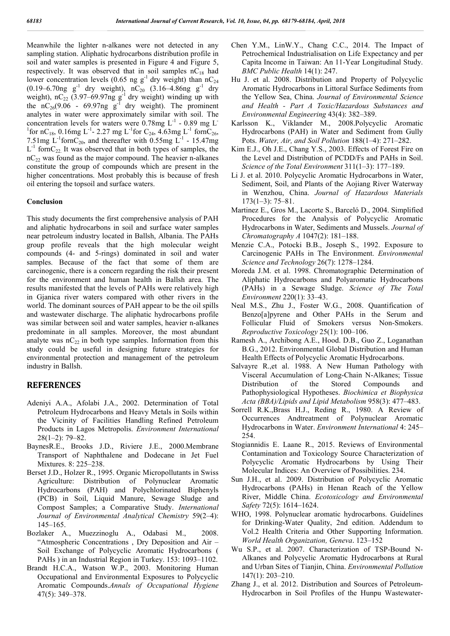Meanwhile the lighter n-alkanes were not detected in any sampling station. Aliphatic hydrocarbons distribution profile in soil and water samples is presented in Figure 4 and Figure 5, respectively. It was observed that in soil samples  $nC_{18}$  had lower concentration levels (0.65 ng g<sup>-1</sup> dry weight) than  $nC_{24}$  $(0.19-6.70$ ng g<sup>-1</sup> dry weight), nC<sub>20</sub> (3.16–4.86ng g<sup>-1</sup> dry weight),  $nC_{22}$  (3.97–69.97ng  $g^{-1}$  dry weight) winding up with the  $nC_{26}(9.06 - 69.97ng g<sup>-1</sup>$  dry weight). The prominent analytes in water were approximately similar with soil. The concentration levels for waters were  $0.78$ mg L<sup>-1</sup> - 0.89 mg L<sup>-</sup> <sup>1</sup> for nC<sub>18</sub>, 0.16mg L<sup>-1</sup>-2.27 mg L<sup>-1</sup> for C<sub>24</sub>, 4.63mg L<sup>-1</sup> fornC<sub>26</sub>, 7.51mg  $L^{-1}$  forn $C_{20}$ , and thereafter with 0.55mg  $L^{-1}$  - 15.47mg  $L^{-1}$  forn $C_{22}$  It was observed that in both types of samples, the  $nC_{22}$  was found as the major compound. The heavier n-alkanes constitute the group of compounds which are present in the higher concentrations. Most probably this is because of fresh oil entering the topsoil and surface waters.

#### **Conclusion**

This study documents the first comprehensive analysis of PAH and aliphatic hydrocarbons in soil and surface water samples near petroleum industry located in Ballsh, Albania. The PAHs group profile reveals that the high molecular weight compounds (4- and 5-rings) dominated in soil and water samples. Because of the fact that some of them are carcinogenic, there is a concern regarding the risk their present for the environment and human health in Ballsh area. The results manifested that the levels of PAHs were relatively high in Gjanica river waters compared with other rivers in the world. The dominant sources of PAH appear to be the oil spills and wastewater discharge. The aliphatic hydrocarbons profile was similar between soil and water samples, heavier n-alkanes predominate in all samples. Moreover, the most abundant analyte was  $nC_{22}$  in both type samples. Information from this study could be useful in designing future strategies for environmental protection and management of the petroleum industry in Ballsh.

#### **REFERENCES**

- Adeniyi A.A., Afolabi J.A., 2002. Determination of Total Petroleum Hydrocarbons and Heavy Metals in Soils within the Vicinity of Facilities Handling Refined Petroleum Products in Lagos Metropolis. *Environment International* 28(1–2): 79–82.
- BaynesR.E., Brooks J.D., Riviere J.E., 2000.Membrane Transport of Naphthalene and Dodecane in Jet Fuel Mixtures. 8: 225–238.
- Berset J.D., Holzer R., 1995. Organic Micropollutants in Swiss Agriculture: Distribution of Polynuclear Aromatic Hydrocarbons (PAH) and Polychlorinated Biphenyls (PCB) in Soil, Liquid Manure, Sewage Sludge and Compost Samples; a Comparative Study. *International Journal of Environmental Analytical Chemistry* 59(2–4): 145–165.
- Bozlaker A., Muezzinoglu A., Odabasi M., 2008. "Atmospheric Concentrations , Dry Deposition and Air – Soil Exchange of Polycyclic Aromatic Hydrocarbons ( PAHs ) in an Industrial Region in Turkey. 153: 1093–1102.
- Brandt H.C.A., Watson W.P., 2003. Monitoring Human Occupational and Environmental Exposures to Polycyclic Aromatic Compounds.*Annals of Occupational Hygiene* 47(5): 349–378.
- Chen Y.M., LinW.Y., Chang C.C., 2014. The Impact of Petrochemical Industrialisation on Life Expectancy and per Capita Income in Taiwan: An 11-Year Longitudinal Study. *BMC Public Health* 14(1): 247.
- Hu J. et al. 2008. Distribution and Property of Polycyclic Aromatic Hydrocarbons in Littoral Surface Sediments from the Yellow Sea, China. *Journal of Environmental Science and Health - Part A Toxic/Hazardous Substances and Environmental Engineering* 43(4): 382–389.
- Karlsson K., Viklander M., 2008.Polycyclic Aromatic Hydrocarbons (PAH) in Water and Sediment from Gully Pots. *Water, Air, and Soil Pollution* 188(1–4): 271–282.
- Kim E.J., Oh J.E., Chang Y.S., 2003. Effects of Forest Fire on the Level and Distribution of PCDD/Fs and PAHs in Soil. *Science of the Total Environment* 311(1–3): 177–189.
- Li J. et al. 2010. Polycyclic Aromatic Hydrocarbons in Water, Sediment, Soil, and Plants of the Aojiang River Waterway in Wenzhou, China. *Journal of Hazardous Materials* 173(1–3): 75–81.
- Martinez E., Gros M., Lacorte S., Barceló D., 2004. Simplified Procedures for the Analysis of Polycyclic Aromatic Hydrocarbons in Water, Sediments and Mussels. *Journal of Chromatography A* 1047(2): 181–188.
- Menzie C.A., Potocki B.B., Joseph S., 1992. Exposure to Carcinogenic PAHs in The Environment. *Environmental Science and Technology* 26(7): 1278–1284.
- Moreda J.M. et al. 1998. Chromatographic Determination of Aliphatic Hydrocarbons and Polyaromatic Hydrocarbons (PAHs) in a Sewage Sludge. *Science of The Total Environment* 220(1): 33–43.
- Neal M.S., Zhu J., Foster W.G., 2008. Quantification of Benzo[a]pyrene and Other PAHs in the Serum and Follicular Fluid of Smokers versus Non-Smokers. *Reproductive Toxicology* 25(1): 100–106.
- Ramesh A., Archibong A.E., Hood. D.B., Guo Z., Loganathan B.G., 2012. Environmental Global Distribution and Human Health Effects of Polycyclic Aromatic Hydrocarbons.
- Salvayre R.,et al. 1988. A New Human Pathology with Visceral Accumulation of Long-Chain N-Alkanes; Tissue Distribution of the Stored Compounds and Pathophysiological Hypotheses. *Biochimica et Biophysica Acta (BBA)/Lipids and Lipid Metabolism* 958(3): 477–483.
- Sorrell R.K.,Brass H.J., Reding R., 1980. A Review of Occurrences Andtreatment of Polynuclear Aromatic Hydrocarbons in Water. *Environment International* 4: 245– 254.
- Stogiannidis E. Laane R., 2015. Reviews of Environmental Contamination and Toxicology Source Characterization of Polycyclic Aromatic Hydrocarbons by Using Their Molecular Indices: An Overview of Possibilities. 234.
- Sun J.H., et al. 2009. Distribution of Polycyclic Aromatic Hydrocarbons (PAHs) in Henan Reach of the Yellow River, Middle China. *Ecotoxicology and Environmental Safety* 72(5): 1614–1624.
- WHO, 1998. Polynuclear aromatic hydrocarbons. Guidelines for Drinking-Water Quality, 2nd edition. Addendum to Vol.2 Health Criteria and Other Supporting Information. *World Health Organization, Geneva*. 123–152
- Wu S.P., et al. 2007. Characterization of TSP-Bound N-Alkanes and Polycyclic Aromatic Hydrocarbons at Rural and Urban Sites of Tianjin, China. *Environmental Pollution* 147(1): 203–210.
- Zhang J., et al. 2012. Distribution and Sources of Petroleum-Hydrocarbon in Soil Profiles of the Hunpu Wastewater-